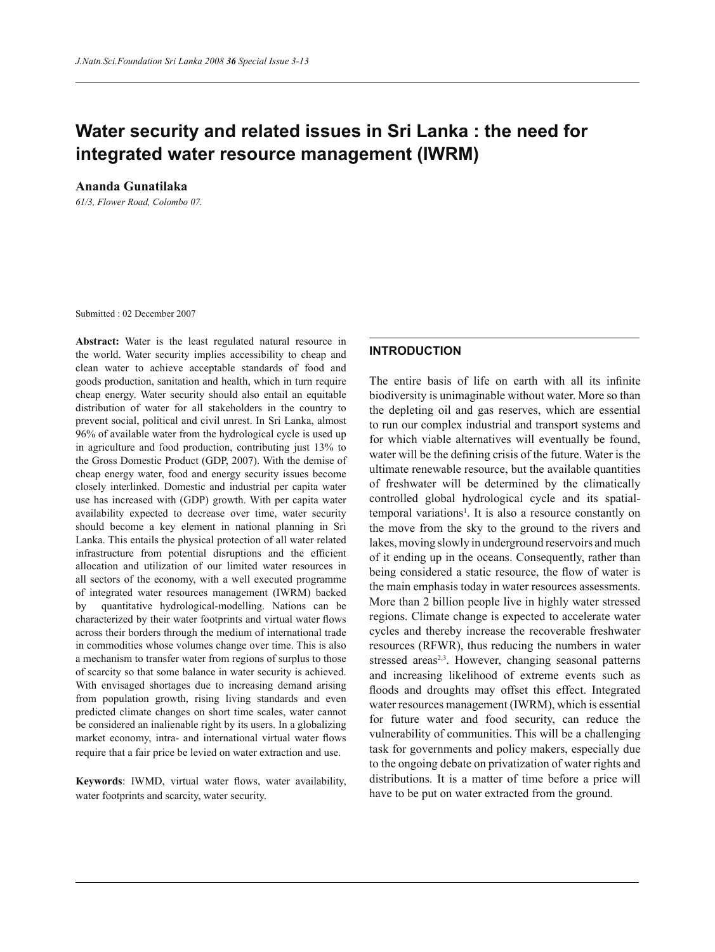# **Water security and related issues in Sri Lanka : the need for integrated water resource management (IWRM)**

**Ananda Gunatilaka**

*61/3, Flower Road, Colombo 07.*

Submitted : 02 December 2007

**Abstract:** Water is the least regulated natural resource in the world. Water security implies accessibility to cheap and clean water to achieve acceptable standards of food and goods production, sanitation and health, which in turn require cheap energy. Water security should also entail an equitable distribution of water for all stakeholders in the country to prevent social, political and civil unrest. In Sri Lanka, almost 96% of available water from the hydrological cycle is used up in agriculture and food production, contributing just 13% to the Gross Domestic Product (GDP, 2007). With the demise of cheap energy water, food and energy security issues become closely interlinked. Domestic and industrial per capita water use has increased with (GDP) growth. With per capita water availability expected to decrease over time, water security should become a key element in national planning in Sri Lanka. This entails the physical protection of all water related infrastructure from potential disruptions and the efficient allocation and utilization of our limited water resources in all sectors of the economy, with a well executed programme of integrated water resources management (IWRM) backed by quantitative hydrological-modelling. Nations can be characterized by their water footprints and virtual water flows across their borders through the medium of international trade in commodities whose volumes change over time. This is also a mechanism to transfer water from regions of surplus to those of scarcity so that some balance in water security is achieved. With envisaged shortages due to increasing demand arising from population growth, rising living standards and even predicted climate changes on short time scales, water cannot be considered an inalienable right by its users. In a globalizing market economy, intra- and international virtual water flows require that a fair price be levied on water extraction and use.

**Keywords**: IWMD, virtual water flows, water availability, water footprints and scarcity, water security.

### **INTRODUCTION**

The entire basis of life on earth with all its infinite biodiversity is unimaginable without water. More so than the depleting oil and gas reserves, which are essential to run our complex industrial and transport systems and for which viable alternatives will eventually be found, water will be the defining crisis of the future. Water is the ultimate renewable resource, but the available quantities of freshwater will be determined by the climatically controlled global hydrological cycle and its spatialtemporal variations<sup>1</sup>. It is also a resource constantly on the move from the sky to the ground to the rivers and lakes, moving slowly in underground reservoirs and much of it ending up in the oceans. Consequently, rather than being considered a static resource, the flow of water is the main emphasis today in water resources assessments. More than 2 billion people live in highly water stressed regions. Climate change is expected to accelerate water cycles and thereby increase the recoverable freshwater resources (RFWR), thus reducing the numbers in water stressed areas<sup>2,3</sup>. However, changing seasonal patterns and increasing likelihood of extreme events such as floods and droughts may offset this effect. Integrated water resources management (IWRM), which is essential for future water and food security, can reduce the vulnerability of communities. This will be a challenging task for governments and policy makers, especially due to the ongoing debate on privatization of water rights and distributions. It is a matter of time before a price will have to be put on water extracted from the ground.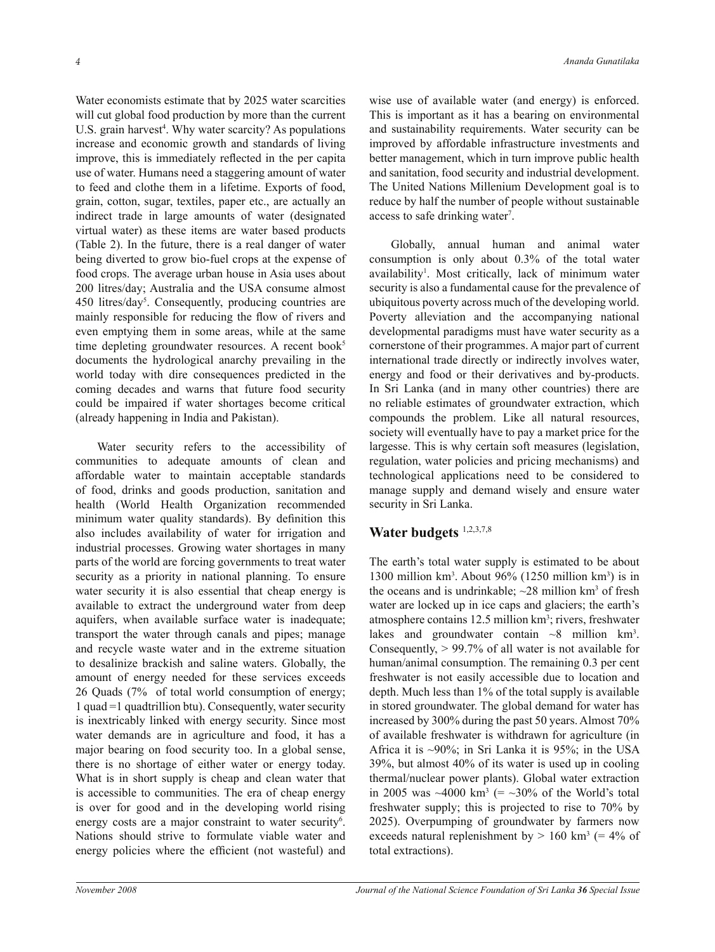Water economists estimate that by 2025 water scarcities will cut global food production by more than the current U.S. grain harvest<sup>4</sup>. Why water scarcity? As populations increase and economic growth and standards of living improve, this is immediately reflected in the per capita use of water. Humans need a staggering amount of water to feed and clothe them in a lifetime. Exports of food, grain, cotton, sugar, textiles, paper etc., are actually an indirect trade in large amounts of water (designated virtual water) as these items are water based products (Table 2). In the future, there is a real danger of water being diverted to grow bio-fuel crops at the expense of food crops. The average urban house in Asia uses about 200 litres/day; Australia and the USA consume almost 450 litres/day<sup>5</sup>. Consequently, producing countries are mainly responsible for reducing the flow of rivers and even emptying them in some areas, while at the same time depleting groundwater resources. A recent book $5$ documents the hydrological anarchy prevailing in the world today with dire consequences predicted in the coming decades and warns that future food security could be impaired if water shortages become critical (already happening in India and Pakistan).

Water security refers to the accessibility of communities to adequate amounts of clean and affordable water to maintain acceptable standards of food, drinks and goods production, sanitation and health (World Health Organization recommended minimum water quality standards). By definition this also includes availability of water for irrigation and industrial processes. Growing water shortages in many parts of the world are forcing governments to treat water security as a priority in national planning. To ensure water security it is also essential that cheap energy is available to extract the underground water from deep aquifers, when available surface water is inadequate; transport the water through canals and pipes; manage and recycle waste water and in the extreme situation to desalinize brackish and saline waters. Globally, the amount of energy needed for these services exceeds 26 Quads (7% of total world consumption of energy; 1 quad =1 quadtrillion btu). Consequently, water security is inextricably linked with energy security. Since most water demands are in agriculture and food, it has a major bearing on food security too. In a global sense, there is no shortage of either water or energy today. What is in short supply is cheap and clean water that is accessible to communities. The era of cheap energy is over for good and in the developing world rising energy costs are a major constraint to water security<sup>6</sup>. Nations should strive to formulate viable water and energy policies where the efficient (not wasteful) and

wise use of available water (and energy) is enforced. This is important as it has a bearing on environmental and sustainability requirements. Water security can be improved by affordable infrastructure investments and better management, which in turn improve public health and sanitation, food security and industrial development. The United Nations Millenium Development goal is to reduce by half the number of people without sustainable access to safe drinking water<sup>7</sup>.

Globally, annual human and animal water consumption is only about 0.3% of the total water availability<sup>1</sup>. Most critically, lack of minimum water security is also a fundamental cause for the prevalence of ubiquitous poverty across much of the developing world. Poverty alleviation and the accompanying national developmental paradigms must have water security as a cornerstone of their programmes. A major part of current international trade directly or indirectly involves water, energy and food or their derivatives and by-products. In Sri Lanka (and in many other countries) there are no reliable estimates of groundwater extraction, which compounds the problem. Like all natural resources, society will eventually have to pay a market price for the largesse. This is why certain soft measures (legislation, regulation, water policies and pricing mechanisms) and technological applications need to be considered to manage supply and demand wisely and ensure water security in Sri Lanka.

# **Water budgets** 1,2,3,7,8

The earth's total water supply is estimated to be about 1300 million  $km^3$ . About 96% (1250 million  $km^3$ ) is in the oceans and is undrinkable;  $\sim$ 28 million km<sup>3</sup> of fresh water are locked up in ice caps and glaciers; the earth's atmosphere contains 12.5 million km<sup>3</sup>; rivers, freshwater lakes and groundwater contain  $\sim 8$  million km<sup>3</sup>. Consequently, > 99.7% of all water is not available for human/animal consumption. The remaining 0.3 per cent freshwater is not easily accessible due to location and depth. Much less than 1% of the total supply is available in stored groundwater. The global demand for water has increased by 300% during the past 50 years. Almost 70% of available freshwater is withdrawn for agriculture (in Africa it is ~90%; in Sri Lanka it is 95%; in the USA 39%, but almost 40% of its water is used up in cooling thermal/nuclear power plants). Global water extraction in 2005 was  $\sim$ 4000 km<sup>3</sup> (=  $\sim$ 30% of the World's total freshwater supply; this is projected to rise to 70% by 2025). Overpumping of groundwater by farmers now exceeds natural replenishment by  $> 160$  km<sup>3</sup> (= 4% of total extractions).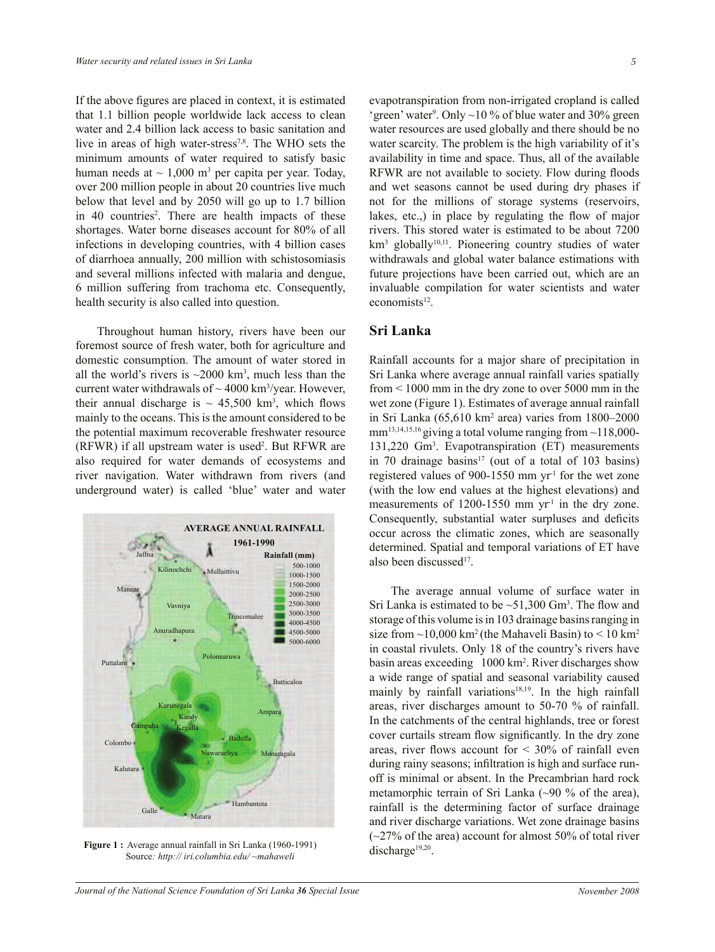If the above figures are placed in context, it is estimated that 1.1 billion people worldwide lack access to clean water and 2.4 billion lack access to basic sanitation and live in areas of high water-stress<sup>7,8</sup>. The WHO sets the minimum amounts of water required to satisfy basic human needs at  $\sim 1,000$  m<sup>3</sup> per capita per year. Today, over 200 million people in about 20 countries live much below that level and by 2050 will go up to 1.7 billion in 40 countries<sup>2</sup>. There are health impacts of these shortages. Water borne diseases account for 80% of all infections in developing countries, with 4 billion cases of diarrhoea annually, 200 million with schistosomiasis and several millions infected with malaria and dengue, 6 million suffering from trachoma etc. Consequently, health security is also called into question.

Throughout human history, rivers have been our foremost source of fresh water, both for agriculture and domestic consumption. The amount of water stored in all the world's rivers is  $\sim$ 2000 km<sup>3</sup>, much less than the current water withdrawals of  $\sim$  4000 km<sup>3</sup>/year. However, their annual discharge is  $\sim 45,500$  km<sup>3</sup>, which flows mainly to the oceans. This is the amount considered to be the potential maximum recoverable freshwater resource (RFWR) if all upstream water is used<sup>2</sup>. But RFWR are also required for water demands of ecosystems and river navigation. Water withdrawn from rivers (and underground water) is called 'blue' water and water



**Figure 1 :** Average annual rainfall in Sri Lanka (1960-1991) Source*: http:// iri.columbia.edu/ ~mahaweli*

evapotranspiration from non-irrigated cropland is called 'green' water<sup>9</sup>. Only  $\sim$ 10 % of blue water and 30% green water resources are used globally and there should be no water scarcity. The problem is the high variability of it's availability in time and space. Thus, all of the available RFWR are not available to society. Flow during floods and wet seasons cannot be used during dry phases if not for the millions of storage systems (reservoirs, lakes, etc.,) in place by regulating the flow of major rivers. This stored water is estimated to be about 7200 km<sup>3</sup> globally<sup>10,11</sup>. Pioneering country studies of water withdrawals and global water balance estimations with future projections have been carried out, which are an invaluable compilation for water scientists and water economists<sup>12</sup>.

## **Sri Lanka**

Rainfall accounts for a major share of precipitation in Sri Lanka where average annual rainfall varies spatially from < 1000 mm in the dry zone to over 5000 mm in the wet zone (Figure 1). Estimates of average annual rainfall in Sri Lanka (65,610 km<sup>2</sup> area) varies from 1800–2000 mm<sup>13,14,15,16</sup> giving a total volume ranging from  $\sim$ 118,000-131,220 Gm<sup>3</sup> . Evapotranspiration (ET) measurements in 70 drainage basins<sup>17</sup> (out of a total of 103 basins) registered values of 900-1550 mm  $yr<sup>1</sup>$  for the wet zone (with the low end values at the highest elevations) and measurements of 1200-1550 mm  $yr<sup>-1</sup>$  in the dry zone. Consequently, substantial water surpluses and deficits occur across the climatic zones, which are seasonally determined. Spatial and temporal variations of ET have also been discussed<sup>17</sup>.

The average annual volume of surface water in Sri Lanka is estimated to be  $\sim 51,300$  Gm<sup>3</sup>. The flow and storage of this volume is in 103 drainage basins ranging in size from  $\sim$ 10,000 km<sup>2</sup> (the Mahaveli Basin) to < 10 km<sup>2</sup> in coastal rivulets. Only 18 of the country's rivers have basin areas exceeding 1000 km<sup>2</sup>. River discharges show a wide range of spatial and seasonal variability caused mainly by rainfall variations<sup>18,19</sup>. In the high rainfall areas, river discharges amount to 50-70 % of rainfall. In the catchments of the central highlands, tree or forest cover curtails stream flow significantly. In the dry zone areas, river flows account for  $\leq 30\%$  of rainfall even during rainy seasons; infiltration is high and surface runoff is minimal or absent. In the Precambrian hard rock metamorphic terrain of Sri Lanka  $(\sim)0\%$  of the area), rainfall is the determining factor of surface drainage and river discharge variations. Wet zone drainage basins  $(-27%$  of the area) account for almost 50% of total river discharge<sup>19,20</sup>.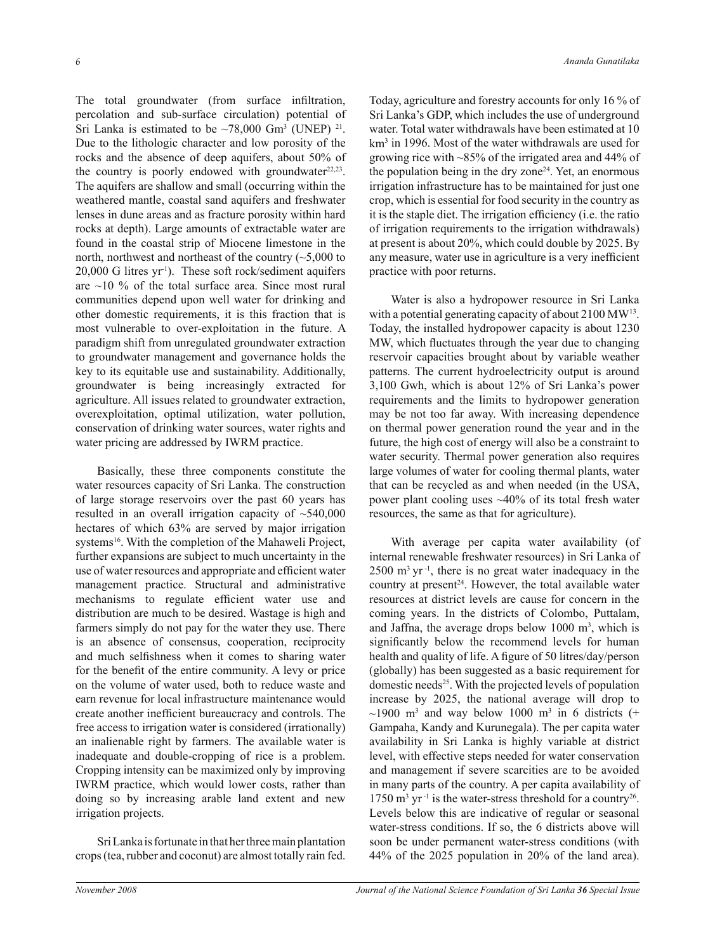The total groundwater (from surface infiltration, percolation and sub-surface circulation) potential of Sri Lanka is estimated to be  $\sim 78,000$  Gm<sup>3</sup> (UNEP) <sup>21</sup>. Due to the lithologic character and low porosity of the rocks and the absence of deep aquifers, about 50% of the country is poorly endowed with groundwater $22,23$ . The aquifers are shallow and small (occurring within the weathered mantle, coastal sand aquifers and freshwater lenses in dune areas and as fracture porosity within hard rocks at depth). Large amounts of extractable water are found in the coastal strip of Miocene limestone in the north, northwest and northeast of the country  $(\sim 5,000)$  to 20,000 G litres yr-1). These soft rock/sediment aquifers are  $\sim$ 10 % of the total surface area. Since most rural communities depend upon well water for drinking and other domestic requirements, it is this fraction that is most vulnerable to over-exploitation in the future. A paradigm shift from unregulated groundwater extraction to groundwater management and governance holds the key to its equitable use and sustainability. Additionally, groundwater is being increasingly extracted for agriculture. All issues related to groundwater extraction, overexploitation, optimal utilization, water pollution, conservation of drinking water sources, water rights and water pricing are addressed by IWRM practice.

Basically, these three components constitute the water resources capacity of Sri Lanka. The construction of large storage reservoirs over the past 60 years has resulted in an overall irrigation capacity of  $\sim$ 540,000 hectares of which 63% are served by major irrigation systems<sup>16</sup>. With the completion of the Mahaweli Project, further expansions are subject to much uncertainty in the use of water resources and appropriate and efficient water management practice. Structural and administrative mechanisms to regulate efficient water use and distribution are much to be desired. Wastage is high and farmers simply do not pay for the water they use. There is an absence of consensus, cooperation, reciprocity and much selfishness when it comes to sharing water for the benefit of the entire community. A levy or price on the volume of water used, both to reduce waste and earn revenue for local infrastructure maintenance would create another inefficient bureaucracy and controls. The free access to irrigation water is considered (irrationally) an inalienable right by farmers. The available water is inadequate and double-cropping of rice is a problem. Cropping intensity can be maximized only by improving IWRM practice, which would lower costs, rather than doing so by increasing arable land extent and new irrigation projects.

Sri Lanka is fortunate in that her three main plantation crops (tea, rubber and coconut) are almost totally rain fed. Today, agriculture and forestry accounts for only 16 % of Sri Lanka's GDP, which includes the use of underground water. Total water withdrawals have been estimated at 10 km<sup>3</sup> in 1996. Most of the water withdrawals are used for growing rice with ~85% of the irrigated area and 44% of the population being in the dry zone<sup>24</sup>. Yet, an enormous irrigation infrastructure has to be maintained for just one crop, which is essential for food security in the country as it is the staple diet. The irrigation efficiency (i.e. the ratio of irrigation requirements to the irrigation withdrawals) at present is about 20%, which could double by 2025. By any measure, water use in agriculture is a very inefficient practice with poor returns.

Water is also a hydropower resource in Sri Lanka with a potential generating capacity of about 2100 MW<sup>13</sup>. Today, the installed hydropower capacity is about 1230 MW, which fluctuates through the year due to changing reservoir capacities brought about by variable weather patterns. The current hydroelectricity output is around 3,100 Gwh, which is about 12% of Sri Lanka's power requirements and the limits to hydropower generation may be not too far away. With increasing dependence on thermal power generation round the year and in the future, the high cost of energy will also be a constraint to water security. Thermal power generation also requires large volumes of water for cooling thermal plants, water that can be recycled as and when needed (in the USA, power plant cooling uses  $~40\%$  of its total fresh water resources, the same as that for agriculture).

With average per capita water availability (of internal renewable freshwater resources) in Sri Lanka of  $2500$  m<sup>3</sup> yr<sup>-1</sup>, there is no great water inadequacy in the country at present<sup>24</sup>. However, the total available water resources at district levels are cause for concern in the coming years. In the districts of Colombo, Puttalam, and Jaffna, the average drops below  $1000 \text{ m}^3$ , which is significantly below the recommend levels for human health and quality of life. A figure of 50 litres/day/person (globally) has been suggested as a basic requirement for domestic needs<sup>25</sup>. With the projected levels of population increase by 2025, the national average will drop to  $\sim$ 1900 m<sup>3</sup> and way below 1000 m<sup>3</sup> in 6 districts (+ Gampaha, Kandy and Kurunegala). The per capita water availability in Sri Lanka is highly variable at district level, with effective steps needed for water conservation and management if severe scarcities are to be avoided in many parts of the country. A per capita availability of  $1750 \text{ m}^3 \text{ yr}^{-1}$  is the water-stress threshold for a country<sup>26</sup>. Levels below this are indicative of regular or seasonal water-stress conditions. If so, the 6 districts above will soon be under permanent water-stress conditions (with 44% of the 2025 population in 20% of the land area).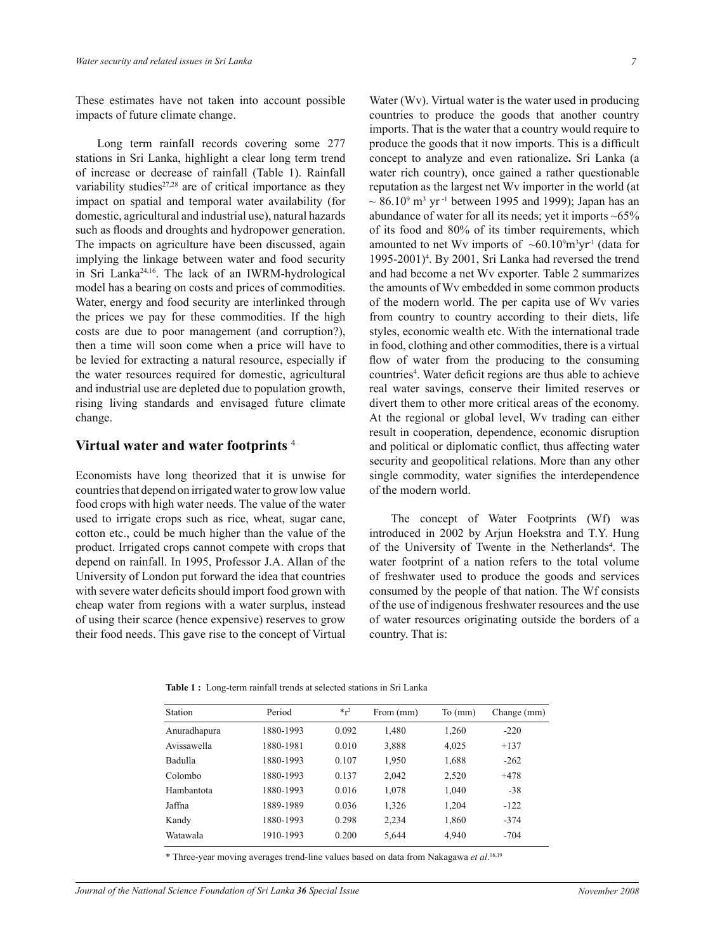These estimates have not taken into account possible impacts of future climate change.

 Long term rainfall records covering some 277 stations in Sri Lanka, highlight a clear long term trend of increase or decrease of rainfall (Table 1). Rainfall variability studies $27,28$  are of critical importance as they impact on spatial and temporal water availability (for domestic, agricultural and industrial use), natural hazards such as floods and droughts and hydropower generation. The impacts on agriculture have been discussed, again implying the linkage between water and food security in Sri Lanka24,16. The lack of an IWRM-hydrological model has a bearing on costs and prices of commodities. Water, energy and food security are interlinked through the prices we pay for these commodities. If the high costs are due to poor management (and corruption?), then a time will soon come when a price will have to be levied for extracting a natural resource, especially if the water resources required for domestic, agricultural and industrial use are depleted due to population growth, rising living standards and envisaged future climate change.

## **Virtual water and water footprints** <sup>4</sup>

Economists have long theorized that it is unwise for countries that depend on irrigated water to grow low value food crops with high water needs. The value of the water used to irrigate crops such as rice, wheat, sugar cane, cotton etc., could be much higher than the value of the product. Irrigated crops cannot compete with crops that depend on rainfall. In 1995, Professor J.A. Allan of the University of London put forward the idea that countries with severe water deficits should import food grown with cheap water from regions with a water surplus, instead of using their scarce (hence expensive) reserves to grow their food needs. This gave rise to the concept of Virtual Water (Wv). Virtual water is the water used in producing countries to produce the goods that another country imports. That is the water that a country would require to produce the goods that it now imports. This is a difficult concept to analyze and even rationalize**.** Sri Lanka (a water rich country), once gained a rather questionable reputation as the largest net Wv importer in the world (at  $\sim 86.10^9$  m<sup>3</sup> yr<sup>-1</sup> between 1995 and 1999); Japan has an abundance of water for all its needs; yet it imports  $~65\%$ of its food and 80% of its timber requirements, which amounted to net Wv imports of  $~560.10^9$ m<sup>3</sup>yr<sup>1</sup> (data for 1995-2001)<sup>4</sup>. By 2001, Sri Lanka had reversed the trend and had become a net Wv exporter. Table 2 summarizes the amounts of Wv embedded in some common products of the modern world. The per capita use of Wv varies from country to country according to their diets, life styles, economic wealth etc. With the international trade in food, clothing and other commodities, there is a virtual flow of water from the producing to the consuming countries<sup>4</sup>. Water deficit regions are thus able to achieve real water savings, conserve their limited reserves or divert them to other more critical areas of the economy. At the regional or global level, Wv trading can either result in cooperation, dependence, economic disruption and political or diplomatic conflict, thus affecting water security and geopolitical relations. More than any other single commodity, water signifies the interdependence of the modern world.

The concept of Water Footprints (Wf) was introduced in 2002 by Arjun Hoekstra and T.Y. Hung of the University of Twente in the Netherlands<sup>4</sup>. The water footprint of a nation refers to the total volume of freshwater used to produce the goods and services consumed by the people of that nation. The Wf consists of the use of indigenous freshwater resources and the use of water resources originating outside the borders of a country. That is:

|  |  | <b>Table 1:</b> Long-term rainfall trends at selected stations in Sri Lanka |  |  |  |  |  |  |
|--|--|-----------------------------------------------------------------------------|--|--|--|--|--|--|
|--|--|-----------------------------------------------------------------------------|--|--|--|--|--|--|

| Station      | Period    | $*_{r^2}$ | From (mm) | $To$ (mm) | Change (mm) |
|--------------|-----------|-----------|-----------|-----------|-------------|
| Anuradhapura | 1880-1993 | 0.092     | 1,480     | 1,260     | $-220$      |
| Avissawella  | 1880-1981 | 0.010     | 3,888     | 4,025     | $+137$      |
| Badulla      | 1880-1993 | 0.107     | 1,950     | 1,688     | $-262$      |
| Colombo      | 1880-1993 | 0.137     | 2,042     | 2,520     | $+478$      |
| Hambantota   | 1880-1993 | 0.016     | 1,078     | 1,040     | $-38$       |
| Jaffna       | 1889-1989 | 0.036     | 1,326     | 1,204     | $-122$      |
| Kandy        | 1880-1993 | 0.298     | 2,234     | 1,860     | $-374$      |
| Watawala     | 1910-1993 | 0.200     | 5,644     | 4,940     | $-704$      |

\* Three-year moving averages trend-line values based on data from Nakagawa *et al*. 16,19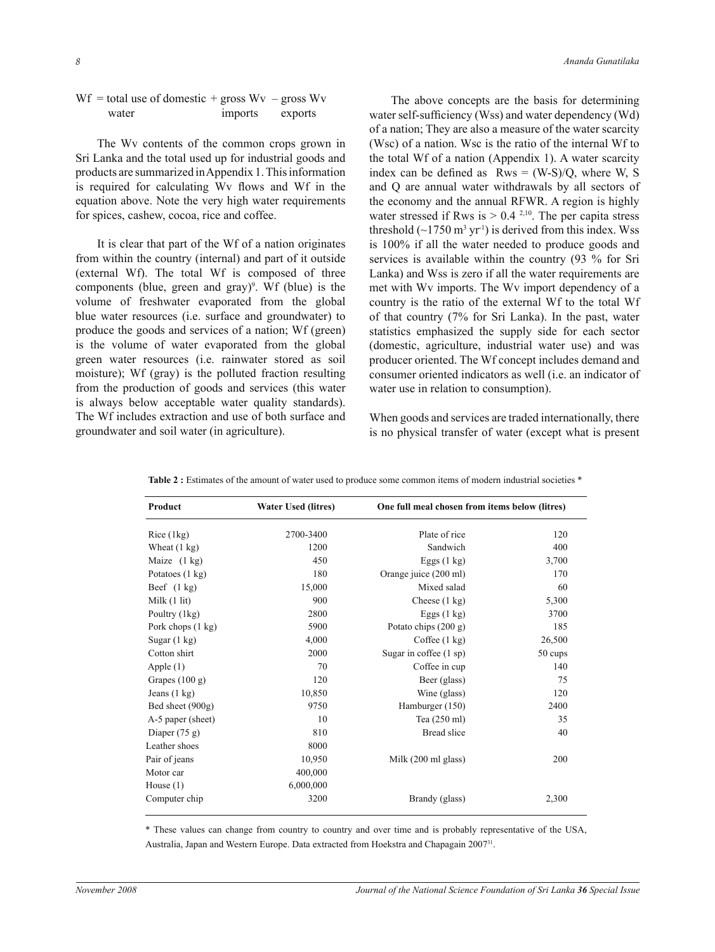| $Wf$ = total use of domestic + gross $Wv$ – gross $Wv$ |         |         |
|--------------------------------------------------------|---------|---------|
| water                                                  | imports | exports |

The Wv contents of the common crops grown in Sri Lanka and the total used up for industrial goods and products are summarized in Appendix 1. This information is required for calculating Wv flows and Wf in the equation above. Note the very high water requirements for spices, cashew, cocoa, rice and coffee.

It is clear that part of the Wf of a nation originates from within the country (internal) and part of it outside (external Wf). The total Wf is composed of three components (blue, green and gray)<sup>9</sup>. Wf (blue) is the volume of freshwater evaporated from the global blue water resources (i.e. surface and groundwater) to produce the goods and services of a nation; Wf (green) is the volume of water evaporated from the global green water resources (i.e. rainwater stored as soil moisture); Wf (gray) is the polluted fraction resulting from the production of goods and services (this water is always below acceptable water quality standards). The Wf includes extraction and use of both surface and groundwater and soil water (in agriculture).

The above concepts are the basis for determining water self-sufficiency (Wss) and water dependency (Wd) of a nation; They are also a measure of the water scarcity (Wsc) of a nation. Wsc is the ratio of the internal Wf to the total Wf of a nation (Appendix 1). A water scarcity index can be defined as  $Rws = (W-S)/Q$ , where W, S and Q are annual water withdrawals by all sectors of the economy and the annual RFWR. A region is highly water stressed if Rws is  $> 0.4$  <sup>2,10</sup>. The per capita stress threshold  $(\sim 1750 \text{ m}^3 \text{ yr}^1)$  is derived from this index. Wss is 100% if all the water needed to produce goods and services is available within the country (93 % for Sri Lanka) and Wss is zero if all the water requirements are met with Wv imports. The Wv import dependency of a country is the ratio of the external Wf to the total Wf of that country (7% for Sri Lanka). In the past, water statistics emphasized the supply side for each sector (domestic, agriculture, industrial water use) and was producer oriented. The Wf concept includes demand and consumer oriented indicators as well (i.e. an indicator of water use in relation to consumption).

When goods and services are traded internationally, there is no physical transfer of water (except what is present

| Product                | <b>Water Used (litres)</b> | One full meal chosen from items below (litres) |         |  |
|------------------------|----------------------------|------------------------------------------------|---------|--|
| Rice (1kg)             | 2700-3400                  | Plate of rice                                  | 120     |  |
| Wheat $(1 \text{ kg})$ | 1200                       | Sandwich                                       | 400     |  |
| Maize $(1 \text{ kg})$ | 450                        | Eggs $(1 \text{ kg})$                          | 3,700   |  |
| Potatoes (1 kg)        | 180                        | Orange juice (200 ml)                          | 170     |  |
| Beef $(1 \text{ kg})$  | 15,000                     | Mixed salad                                    | 60      |  |
| Milk $(1$ lit)         | 900                        | Cheese $(1 \text{ kg})$                        | 5,300   |  |
| Poultry (1kg)          | 2800                       | Eggs $(1 \text{ kg})$                          | 3700    |  |
| Pork chops (1 kg)      | 5900                       | Potato chips (200 g)                           | 185     |  |
| Sugar $(1 \text{ kg})$ | 4,000                      | Coffee (1 kg)                                  | 26,500  |  |
| Cotton shirt           | 2000                       | Sugar in coffee (1 sp)                         | 50 cups |  |
| Apple $(1)$            | 70                         | Coffee in cup                                  | 140     |  |
| Grapes $(100 g)$       | 120                        | Beer (glass)                                   | 75      |  |
| Jeans $(1 \text{ kg})$ | 10,850                     | Wine (glass)                                   | 120     |  |
| Bed sheet (900g)       | 9750                       | Hamburger (150)                                | 2400    |  |
| A-5 paper (sheet)      | 10                         | Tea (250 ml)                                   | 35      |  |
| Diaper $(75 g)$        | 810                        | Bread slice                                    | 40      |  |
| Leather shoes          | 8000                       |                                                |         |  |
| Pair of jeans          | 10,950                     | Milk (200 ml glass)                            | 200     |  |
| Motor car              | 400,000                    |                                                |         |  |
| House $(1)$            | 6,000,000                  |                                                |         |  |
| Computer chip          | 3200                       | Brandy (glass)                                 | 2,300   |  |

**Table 2 :** Estimates of the amount of water used to produce some common items of modern industrial societies \*

\* These values can change from country to country and over time and is probably representative of the USA, Australia, Japan and Western Europe. Data extracted from Hoekstra and Chapagain 2007<sup>31</sup>.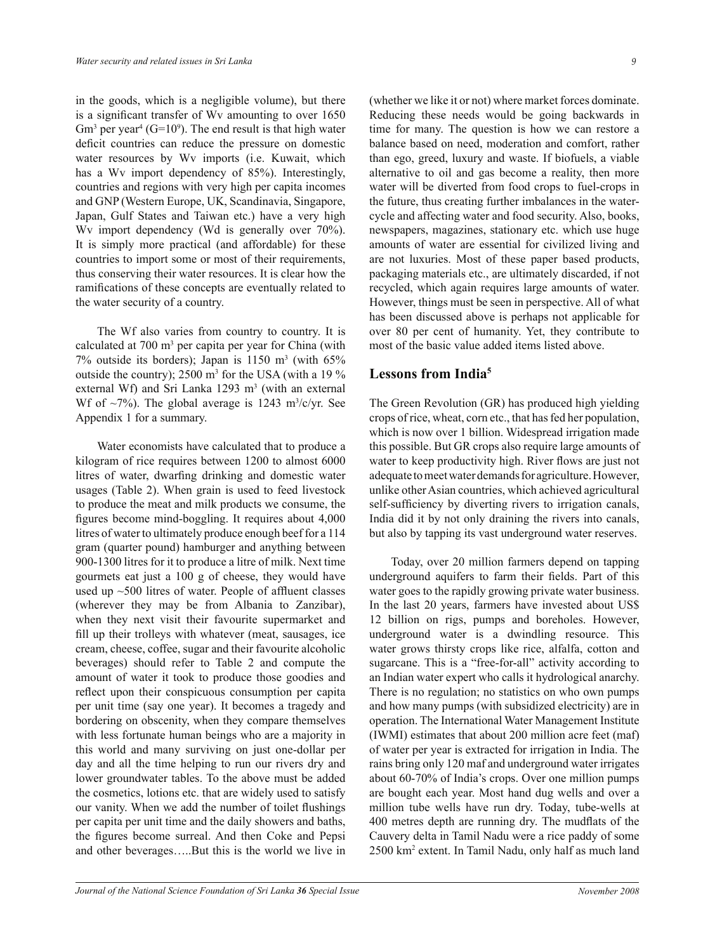in the goods, which is a negligible volume), but there is a significant transfer of Wv amounting to over 1650  $\text{Gm}^3$  per year<sup>4</sup> ( $\text{G=10}^9$ ). The end result is that high water deficit countries can reduce the pressure on domestic water resources by Wv imports (i.e. Kuwait, which has a Wv import dependency of 85%). Interestingly, countries and regions with very high per capita incomes and GNP (Western Europe, UK, Scandinavia, Singapore, Japan, Gulf States and Taiwan etc.) have a very high Wv import dependency (Wd is generally over 70%). It is simply more practical (and affordable) for these countries to import some or most of their requirements, thus conserving their water resources. It is clear how the ramifications of these concepts are eventually related to the water security of a country.

The Wf also varies from country to country. It is calculated at 700 m<sup>3</sup> per capita per year for China (with  $7\%$  outside its borders); Japan is 1150 m<sup>3</sup> (with  $65\%$ ) outside the country);  $2500 \text{ m}^3$  for the USA (with a 19 % external Wf) and Sri Lanka  $1293 \text{ m}^3$  (with an external Wf of  $\sim$ 7%). The global average is 1243 m<sup>3</sup>/c/yr. See Appendix 1 for a summary.

Water economists have calculated that to produce a kilogram of rice requires between 1200 to almost 6000 litres of water, dwarfing drinking and domestic water usages (Table 2). When grain is used to feed livestock to produce the meat and milk products we consume, the figures become mind-boggling. It requires about 4,000 litres of water to ultimately produce enough beef for a 114 gram (quarter pound) hamburger and anything between 900-1300 litres for it to produce a litre of milk. Next time gourmets eat just a 100 g of cheese, they would have used up ~500 litres of water. People of affluent classes (wherever they may be from Albania to Zanzibar), when they next visit their favourite supermarket and fill up their trolleys with whatever (meat, sausages, ice cream, cheese, coffee, sugar and their favourite alcoholic beverages) should refer to Table 2 and compute the amount of water it took to produce those goodies and reflect upon their conspicuous consumption per capita per unit time (say one year). It becomes a tragedy and bordering on obscenity, when they compare themselves with less fortunate human beings who are a majority in this world and many surviving on just one-dollar per day and all the time helping to run our rivers dry and lower groundwater tables. To the above must be added the cosmetics, lotions etc. that are widely used to satisfy our vanity. When we add the number of toilet flushings per capita per unit time and the daily showers and baths, the figures become surreal. And then Coke and Pepsi and other beverages…..But this is the world we live in

(whether we like it or not) where market forces dominate. Reducing these needs would be going backwards in time for many. The question is how we can restore a balance based on need, moderation and comfort, rather than ego, greed, luxury and waste. If biofuels, a viable alternative to oil and gas become a reality, then more water will be diverted from food crops to fuel-crops in the future, thus creating further imbalances in the watercycle and affecting water and food security. Also, books, newspapers, magazines, stationary etc. which use huge amounts of water are essential for civilized living and are not luxuries. Most of these paper based products, packaging materials etc., are ultimately discarded, if not recycled, which again requires large amounts of water. However, things must be seen in perspective. All of what has been discussed above is perhaps not applicable for over 80 per cent of humanity. Yet, they contribute to most of the basic value added items listed above.

## **Lessons from India<sup>5</sup>**

The Green Revolution (GR) has produced high yielding crops of rice, wheat, corn etc., that has fed her population, which is now over 1 billion. Widespread irrigation made this possible. But GR crops also require large amounts of water to keep productivity high. River flows are just not adequate to meet water demands for agriculture. However, unlike other Asian countries, which achieved agricultural self-sufficiency by diverting rivers to irrigation canals, India did it by not only draining the rivers into canals, but also by tapping its vast underground water reserves.

Today, over 20 million farmers depend on tapping underground aquifers to farm their fields. Part of this water goes to the rapidly growing private water business. In the last 20 years, farmers have invested about US\$ 12 billion on rigs, pumps and boreholes. However, underground water is a dwindling resource. This water grows thirsty crops like rice, alfalfa, cotton and sugarcane. This is a "free-for-all" activity according to an Indian water expert who calls it hydrological anarchy. There is no regulation; no statistics on who own pumps and how many pumps (with subsidized electricity) are in operation. The International Water Management Institute (IWMI) estimates that about 200 million acre feet (maf) of water per year is extracted for irrigation in India. The rains bring only 120 maf and underground water irrigates about 60-70% of India's crops. Over one million pumps are bought each year. Most hand dug wells and over a million tube wells have run dry. Today, tube-wells at 400 metres depth are running dry. The mudflats of the Cauvery delta in Tamil Nadu were a rice paddy of some 2500 km<sup>2</sup> extent. In Tamil Nadu, only half as much land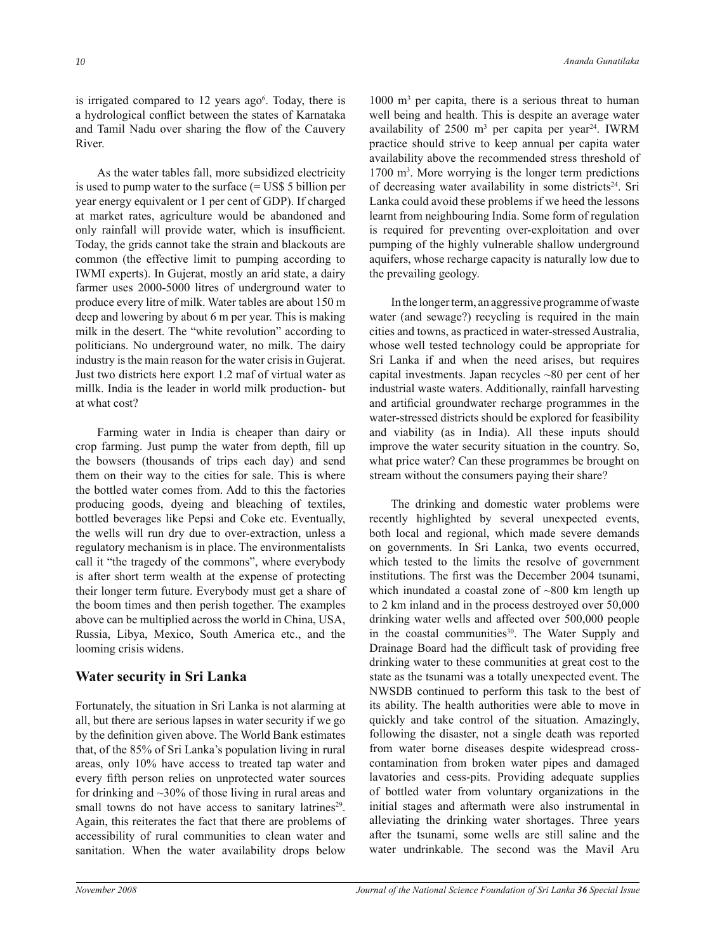is irrigated compared to  $12$  years ago<sup>6</sup>. Today, there is a hydrological conflict between the states of Karnataka and Tamil Nadu over sharing the flow of the Cauvery River.

As the water tables fall, more subsidized electricity is used to pump water to the surface (= US\$ 5 billion per year energy equivalent or 1 per cent of GDP). If charged at market rates, agriculture would be abandoned and only rainfall will provide water, which is insufficient. Today, the grids cannot take the strain and blackouts are common (the effective limit to pumping according to IWMI experts). In Gujerat, mostly an arid state, a dairy farmer uses 2000-5000 litres of underground water to produce every litre of milk. Water tables are about 150 m deep and lowering by about 6 m per year. This is making milk in the desert. The "white revolution" according to politicians. No underground water, no milk. The dairy industry is the main reason for the water crisis in Gujerat. Just two districts here export 1.2 maf of virtual water as millk. India is the leader in world milk production- but at what cost?

Farming water in India is cheaper than dairy or crop farming. Just pump the water from depth, fill up the bowsers (thousands of trips each day) and send them on their way to the cities for sale. This is where the bottled water comes from. Add to this the factories producing goods, dyeing and bleaching of textiles, bottled beverages like Pepsi and Coke etc. Eventually, the wells will run dry due to over-extraction, unless a regulatory mechanism is in place. The environmentalists call it "the tragedy of the commons", where everybody is after short term wealth at the expense of protecting their longer term future. Everybody must get a share of the boom times and then perish together. The examples above can be multiplied across the world in China, USA, Russia, Libya, Mexico, South America etc., and the looming crisis widens.

### **Water security in Sri Lanka**

Fortunately, the situation in Sri Lanka is not alarming at all, but there are serious lapses in water security if we go by the definition given above. The World Bank estimates that, of the 85% of Sri Lanka's population living in rural areas, only 10% have access to treated tap water and every fifth person relies on unprotected water sources for drinking and ~30% of those living in rural areas and small towns do not have access to sanitary latrines<sup>29</sup>. Again, this reiterates the fact that there are problems of accessibility of rural communities to clean water and sanitation. When the water availability drops below

1000 m<sup>3</sup> per capita, there is a serious threat to human well being and health. This is despite an average water availability of  $2500 \text{ m}^3$  per capita per year<sup>24</sup>. IWRM practice should strive to keep annual per capita water availability above the recommended stress threshold of 1700 m<sup>3</sup> . More worrying is the longer term predictions of decreasing water availability in some districts<sup>24</sup>. Sri Lanka could avoid these problems if we heed the lessons learnt from neighbouring India. Some form of regulation is required for preventing over-exploitation and over pumping of the highly vulnerable shallow underground aquifers, whose recharge capacity is naturally low due to the prevailing geology.

In the longer term, an aggressive programme of waste water (and sewage?) recycling is required in the main cities and towns, as practiced in water-stressed Australia, whose well tested technology could be appropriate for Sri Lanka if and when the need arises, but requires capital investments. Japan recycles ~80 per cent of her industrial waste waters. Additionally, rainfall harvesting and artificial groundwater recharge programmes in the water-stressed districts should be explored for feasibility and viability (as in India). All these inputs should improve the water security situation in the country. So, what price water? Can these programmes be brought on stream without the consumers paying their share?

The drinking and domestic water problems were recently highlighted by several unexpected events, both local and regional, which made severe demands on governments. In Sri Lanka, two events occurred, which tested to the limits the resolve of government institutions. The first was the December 2004 tsunami, which inundated a coastal zone of  $\sim 800$  km length up to 2 km inland and in the process destroyed over 50,000 drinking water wells and affected over 500,000 people in the coastal communities<sup>30</sup>. The Water Supply and Drainage Board had the difficult task of providing free drinking water to these communities at great cost to the state as the tsunami was a totally unexpected event. The NWSDB continued to perform this task to the best of its ability. The health authorities were able to move in quickly and take control of the situation. Amazingly, following the disaster, not a single death was reported from water borne diseases despite widespread crosscontamination from broken water pipes and damaged lavatories and cess-pits. Providing adequate supplies of bottled water from voluntary organizations in the initial stages and aftermath were also instrumental in alleviating the drinking water shortages. Three years after the tsunami, some wells are still saline and the water undrinkable. The second was the Mavil Aru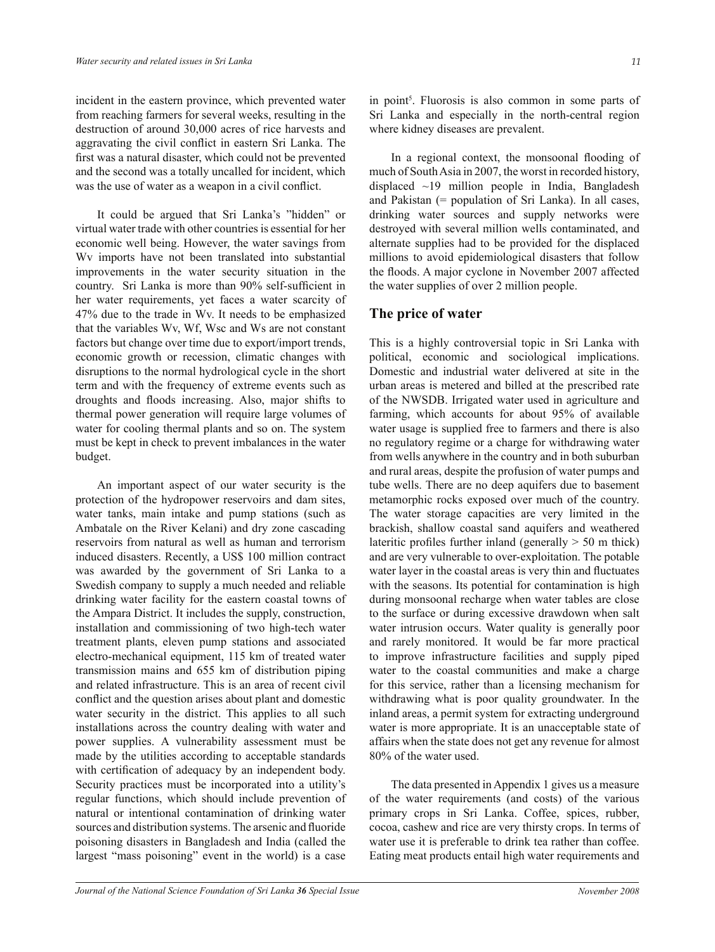incident in the eastern province, which prevented water from reaching farmers for several weeks, resulting in the destruction of around 30,000 acres of rice harvests and aggravating the civil conflict in eastern Sri Lanka. The first was a natural disaster, which could not be prevented and the second was a totally uncalled for incident, which was the use of water as a weapon in a civil conflict.

It could be argued that Sri Lanka's "hidden" or virtual water trade with other countries is essential for her economic well being. However, the water savings from Wv imports have not been translated into substantial improvements in the water security situation in the country. Sri Lanka is more than 90% self-sufficient in her water requirements, yet faces a water scarcity of 47% due to the trade in Wv. It needs to be emphasized that the variables Wv, Wf, Wsc and Ws are not constant factors but change over time due to export/import trends, economic growth or recession, climatic changes with disruptions to the normal hydrological cycle in the short term and with the frequency of extreme events such as droughts and floods increasing. Also, major shifts to thermal power generation will require large volumes of water for cooling thermal plants and so on. The system must be kept in check to prevent imbalances in the water budget.

An important aspect of our water security is the protection of the hydropower reservoirs and dam sites, water tanks, main intake and pump stations (such as Ambatale on the River Kelani) and dry zone cascading reservoirs from natural as well as human and terrorism induced disasters. Recently, a US\$ 100 million contract was awarded by the government of Sri Lanka to a Swedish company to supply a much needed and reliable drinking water facility for the eastern coastal towns of the Ampara District. It includes the supply, construction, installation and commissioning of two high-tech water treatment plants, eleven pump stations and associated electro-mechanical equipment, 115 km of treated water transmission mains and 655 km of distribution piping and related infrastructure. This is an area of recent civil conflict and the question arises about plant and domestic water security in the district. This applies to all such installations across the country dealing with water and power supplies. A vulnerability assessment must be made by the utilities according to acceptable standards with certification of adequacy by an independent body. Security practices must be incorporated into a utility's regular functions, which should include prevention of natural or intentional contamination of drinking water sources and distribution systems. The arsenic and fluoride poisoning disasters in Bangladesh and India (called the largest "mass poisoning" event in the world) is a case

in point<sup>5</sup>. Fluorosis is also common in some parts of Sri Lanka and especially in the north-central region where kidney diseases are prevalent.

In a regional context, the monsoonal flooding of much of South Asia in 2007, the worst in recorded history, displaced ~19 million people in India, Bangladesh and Pakistan (= population of Sri Lanka). In all cases, drinking water sources and supply networks were destroyed with several million wells contaminated, and alternate supplies had to be provided for the displaced millions to avoid epidemiological disasters that follow the floods. A major cyclone in November 2007 affected the water supplies of over 2 million people.

## **The price of water**

This is a highly controversial topic in Sri Lanka with political, economic and sociological implications. Domestic and industrial water delivered at site in the urban areas is metered and billed at the prescribed rate of the NWSDB. Irrigated water used in agriculture and farming, which accounts for about 95% of available water usage is supplied free to farmers and there is also no regulatory regime or a charge for withdrawing water from wells anywhere in the country and in both suburban and rural areas, despite the profusion of water pumps and tube wells. There are no deep aquifers due to basement metamorphic rocks exposed over much of the country. The water storage capacities are very limited in the brackish, shallow coastal sand aquifers and weathered lateritic profiles further inland (generally  $> 50$  m thick) and are very vulnerable to over-exploitation. The potable water layer in the coastal areas is very thin and fluctuates with the seasons. Its potential for contamination is high during monsoonal recharge when water tables are close to the surface or during excessive drawdown when salt water intrusion occurs. Water quality is generally poor and rarely monitored. It would be far more practical to improve infrastructure facilities and supply piped water to the coastal communities and make a charge for this service, rather than a licensing mechanism for withdrawing what is poor quality groundwater. In the inland areas, a permit system for extracting underground water is more appropriate. It is an unacceptable state of affairs when the state does not get any revenue for almost 80% of the water used.

The data presented in Appendix 1 gives us a measure of the water requirements (and costs) of the various primary crops in Sri Lanka. Coffee, spices, rubber, cocoa, cashew and rice are very thirsty crops. In terms of water use it is preferable to drink tea rather than coffee. Eating meat products entail high water requirements and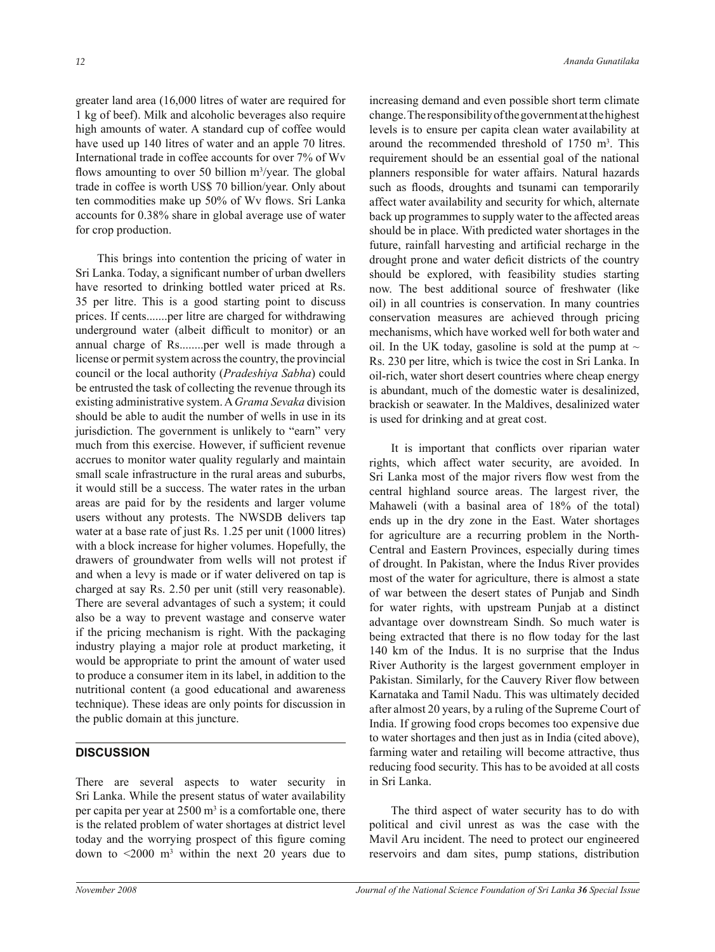greater land area (16,000 litres of water are required for 1 kg of beef). Milk and alcoholic beverages also require high amounts of water. A standard cup of coffee would have used up 140 litres of water and an apple 70 litres. International trade in coffee accounts for over 7% of Wv flows amounting to over 50 billion m<sup>3</sup>/year. The global trade in coffee is worth US\$ 70 billion/year. Only about ten commodities make up 50% of Wv flows. Sri Lanka accounts for 0.38% share in global average use of water for crop production.

This brings into contention the pricing of water in Sri Lanka. Today, a significant number of urban dwellers have resorted to drinking bottled water priced at Rs. 35 per litre. This is a good starting point to discuss prices. If cents.......per litre are charged for withdrawing underground water (albeit difficult to monitor) or an annual charge of Rs........per well is made through a license or permit system across the country, the provincial council or the local authority (*Pradeshiya Sabha*) could be entrusted the task of collecting the revenue through its existing administrative system. A *Grama Sevaka* division should be able to audit the number of wells in use in its jurisdiction. The government is unlikely to "earn" very much from this exercise. However, if sufficient revenue accrues to monitor water quality regularly and maintain small scale infrastructure in the rural areas and suburbs, it would still be a success. The water rates in the urban areas are paid for by the residents and larger volume users without any protests. The NWSDB delivers tap water at a base rate of just Rs. 1.25 per unit (1000 litres) with a block increase for higher volumes. Hopefully, the drawers of groundwater from wells will not protest if and when a levy is made or if water delivered on tap is charged at say Rs. 2.50 per unit (still very reasonable). There are several advantages of such a system; it could also be a way to prevent wastage and conserve water if the pricing mechanism is right. With the packaging industry playing a major role at product marketing, it would be appropriate to print the amount of water used to produce a consumer item in its label, in addition to the nutritional content (a good educational and awareness technique). These ideas are only points for discussion in the public domain at this juncture.

## **DISCUSSION**

There are several aspects to water security in Sri Lanka. While the present status of water availability per capita per year at  $2500 \text{ m}^3$  is a comfortable one, there is the related problem of water shortages at district level today and the worrying prospect of this figure coming down to  $\leq 2000$  m<sup>3</sup> within the next 20 years due to increasing demand and even possible short term climate change. The responsibility of the government at the highest levels is to ensure per capita clean water availability at around the recommended threshold of  $1750 \text{ m}^3$ . This requirement should be an essential goal of the national planners responsible for water affairs. Natural hazards such as floods, droughts and tsunami can temporarily affect water availability and security for which, alternate back up programmes to supply water to the affected areas should be in place. With predicted water shortages in the future, rainfall harvesting and artificial recharge in the drought prone and water deficit districts of the country should be explored, with feasibility studies starting now. The best additional source of freshwater (like oil) in all countries is conservation. In many countries conservation measures are achieved through pricing mechanisms, which have worked well for both water and oil. In the UK today, gasoline is sold at the pump at  $\sim$ Rs. 230 per litre, which is twice the cost in Sri Lanka. In oil-rich, water short desert countries where cheap energy is abundant, much of the domestic water is desalinized, brackish or seawater. In the Maldives, desalinized water is used for drinking and at great cost.

It is important that conflicts over riparian water rights, which affect water security, are avoided. In Sri Lanka most of the major rivers flow west from the central highland source areas. The largest river, the Mahaweli (with a basinal area of 18% of the total) ends up in the dry zone in the East. Water shortages for agriculture are a recurring problem in the North-Central and Eastern Provinces, especially during times of drought. In Pakistan, where the Indus River provides most of the water for agriculture, there is almost a state of war between the desert states of Punjab and Sindh for water rights, with upstream Punjab at a distinct advantage over downstream Sindh. So much water is being extracted that there is no flow today for the last 140 km of the Indus. It is no surprise that the Indus River Authority is the largest government employer in Pakistan. Similarly, for the Cauvery River flow between Karnataka and Tamil Nadu. This was ultimately decided after almost 20 years, by a ruling of the Supreme Court of India. If growing food crops becomes too expensive due to water shortages and then just as in India (cited above), farming water and retailing will become attractive, thus reducing food security. This has to be avoided at all costs in Sri Lanka.

The third aspect of water security has to do with political and civil unrest as was the case with the Mavil Aru incident. The need to protect our engineered reservoirs and dam sites, pump stations, distribution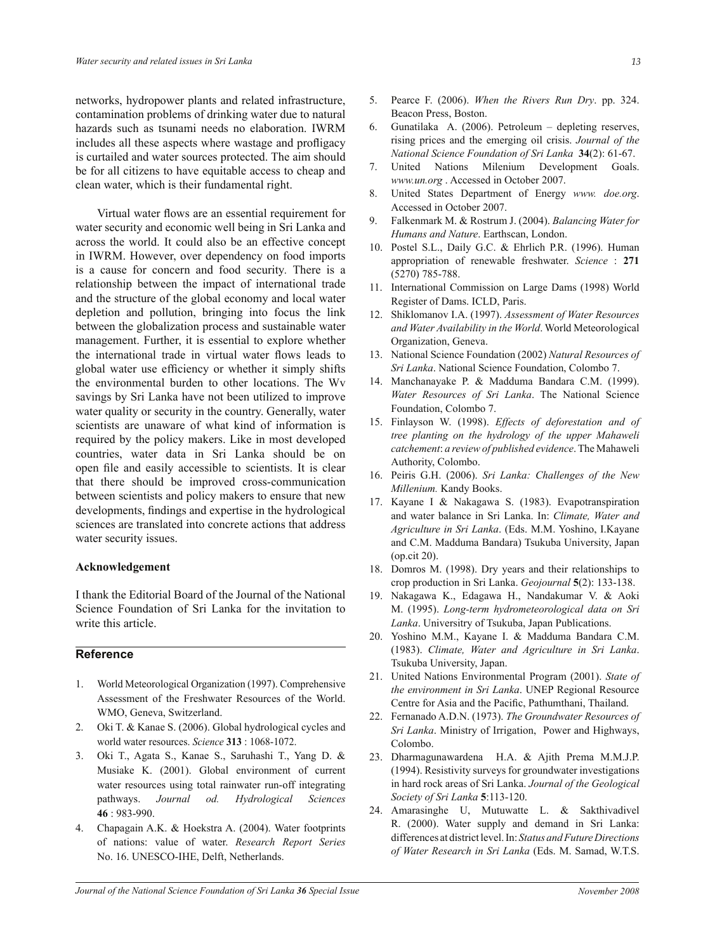networks, hydropower plants and related infrastructure, contamination problems of drinking water due to natural hazards such as tsunami needs no elaboration. IWRM includes all these aspects where wastage and profligacy is curtailed and water sources protected. The aim should be for all citizens to have equitable access to cheap and clean water, which is their fundamental right.

Virtual water flows are an essential requirement for water security and economic well being in Sri Lanka and across the world. It could also be an effective concept in IWRM. However, over dependency on food imports is a cause for concern and food security*.* There is a relationship between the impact of international trade and the structure of the global economy and local water depletion and pollution, bringing into focus the link between the globalization process and sustainable water management. Further, it is essential to explore whether the international trade in virtual water flows leads to global water use efficiency or whether it simply shifts the environmental burden to other locations. The Wv savings by Sri Lanka have not been utilized to improve water quality or security in the country. Generally, water scientists are unaware of what kind of information is required by the policy makers. Like in most developed countries, water data in Sri Lanka should be on open file and easily accessible to scientists. It is clear that there should be improved cross-communication between scientists and policy makers to ensure that new developments, findings and expertise in the hydrological sciences are translated into concrete actions that address water security issues.

#### **Acknowledgement**

I thank the Editorial Board of the Journal of the National Science Foundation of Sri Lanka for the invitation to write this article.

## **Reference**

- 1. World Meteorological Organization (1997). Comprehensive Assessment of the Freshwater Resources of the World. WMO, Geneva, Switzerland.
- 2. Oki T. & Kanae S. (2006). Global hydrological cycles and world water resources. *Science* **313** : 1068-1072.
- 3. Oki T., Agata S., Kanae S., Saruhashi T., Yang D. & Musiake K. (2001). Global environment of current water resources using total rainwater run-off integrating pathways. *Journal od. Hydrological Sciences* **46** : 983-990.
- 4. Chapagain A.K. & Hoekstra A. (2004). Water footprints of nations: value of water. *Research Report Series*  No. 16. UNESCO-IHE, Delft, Netherlands.
- 5. Pearce F. (2006). *When the Rivers Run Dry*. pp. 324. Beacon Press, Boston.
- 6. Gunatilaka A. (2006). Petroleum depleting reserves, rising prices and the emerging oil crisis. *Journal of the National Science Foundation of Sri Lanka* **34**(2): 61-67.
- 7. United Nations Milenium Development Goals. *www.un.org* . Accessed in October 2007.
- 8. United States Department of Energy *www. doe.org*. Accessed in October 2007.
- 9. Falkenmark M. & Rostrum J. (2004). *Balancing Water for Humans and Nature*. Earthscan, London.
- 10. Postel S.L., Daily G.C. & Ehrlich P.R. (1996). Human appropriation of renewable freshwater. *Science* : **271** (5270) 785-788.
- 11. International Commission on Large Dams (1998) World Register of Dams. ICLD, Paris.
- 12. Shiklomanov I.A. (1997). *Assessment of Water Resources and Water Availability in the World*. World Meteorological Organization, Geneva.
- 13. National Science Foundation (2002) *Natural Resources of Sri Lanka*. National Science Foundation, Colombo 7.
- 14. Manchanayake P. & Madduma Bandara C.M. (1999). *Water Resources of Sri Lanka*. The National Science Foundation, Colombo 7.
- 15. Finlayson W. (1998). *Effects of deforestation and of tree planting on the hydrology of the upper Mahaweli catchement*: *a review of published evidence*. The Mahaweli Authority, Colombo.
- 16. Peiris G.H. (2006). *Sri Lanka: Challenges of the New Millenium.* Kandy Books.
- 17. Kayane I & Nakagawa S. (1983). Evapotranspiration and water balance in Sri Lanka. In: *Climate, Water and Agriculture in Sri Lanka*. (Eds. M.M. Yoshino, I.Kayane and C.M. Madduma Bandara) Tsukuba University, Japan (op.cit 20).
- 18. Domros M. (1998). Dry years and their relationships to crop production in Sri Lanka. *Geojournal* **5**(2): 133-138.
- 19. Nakagawa K., Edagawa H., Nandakumar V. & Aoki M. (1995). *Long-term hydrometeorological data on Sri Lanka*. Universitry of Tsukuba, Japan Publications.
- 20. Yoshino M.M., Kayane I. & Madduma Bandara C.M. (1983). *Climate, Water and Agriculture in Sri Lanka*. Tsukuba University, Japan.
- 21. United Nations Environmental Program (2001). *State of the environment in Sri Lanka*. UNEP Regional Resource Centre for Asia and the Pacific, Pathumthani, Thailand.
- 22. Fernanado A.D.N. (1973). *The Groundwater Resources of Sri Lanka*. Ministry of Irrigation, Power and Highways, Colombo.
- 23. Dharmagunawardena H.A. & Ajith Prema M.M.J.P. (1994). Resistivity surveys for groundwater investigations in hard rock areas of Sri Lanka. *Journal of the Geological Society of Sri Lanka* **5**:113-120.
- 24. Amarasinghe U, Mutuwatte L. & Sakthivadivel R. (2000). Water supply and demand in Sri Lanka: differences at district level. In: *Status and Future Directions of Water Research in Sri Lanka* (Eds. M. Samad, W.T.S.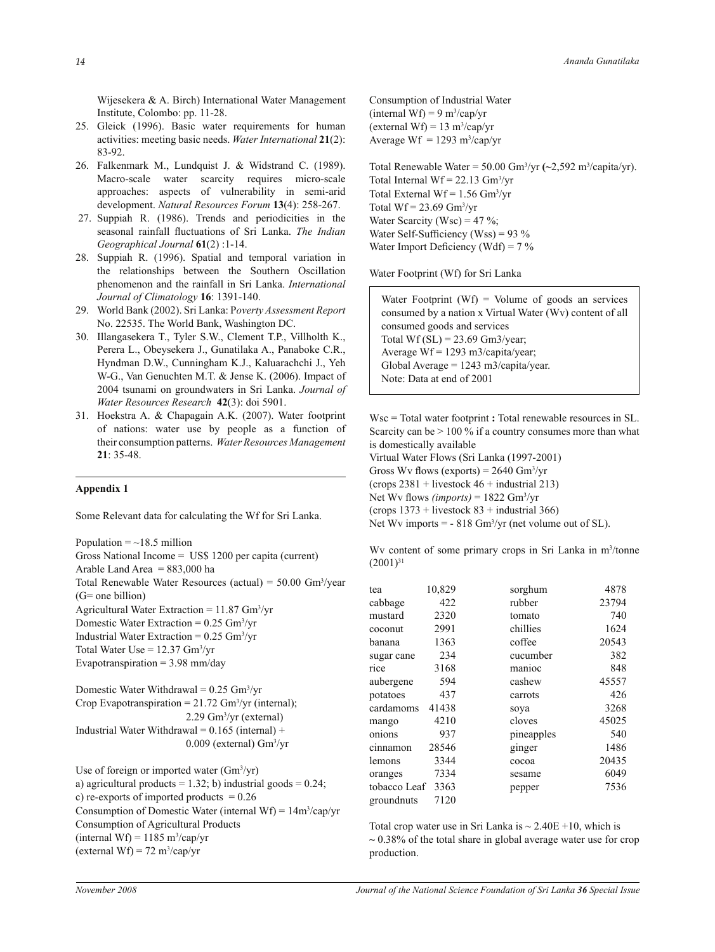Wijesekera & A. Birch) International Water Management Institute, Colombo: pp. 11-28.

- 25. Gleick (1996). Basic water requirements for human activities: meeting basic needs. *Water International* **21**(2): 83-92.
- 26. Falkenmark M., Lundquist J. & Widstrand C. (1989). Macro-scale water scarcity requires micro-scale approaches: aspects of vulnerability in semi-arid development. *Natural Resources Forum* **13**(4): 258-267.
- 27. Suppiah R. (1986). Trends and periodicities in the seasonal rainfall fluctuations of Sri Lanka. *The Indian Geographical Journal* **61**(2) :1-14.
- 28. Suppiah R. (1996). Spatial and temporal variation in the relationships between the Southern Oscillation phenomenon and the rainfall in Sri Lanka. *International Journal of Climatology* **16**: 1391-140.
- 29. World Bank (2002). Sri Lanka: P*overty Assessment Report* No. 22535. The World Bank, Washington DC.
- 30. Illangasekera T., Tyler S.W., Clement T.P., Villholth K., Perera L., Obeysekera J., Gunatilaka A., Panaboke C.R., Hyndman D.W., Cunningham K.J., Kaluarachchi J., Yeh W-G., Van Genuchten M.T. & Jense K. (2006). Impact of 2004 tsunami on groundwaters in Sri Lanka. *Journal of Water Resources Research* **42**(3): doi 5901.
- 31.Hoekstra A. & Chapagain A.K. (2007). Water footprint of nations: water use by people as a function of their consumption patterns. *Water Resources Management* **21**: 35-48.

#### **Appendix 1**

Some Relevant data for calculating the Wf for Sri Lanka.

Population  $=$  ~18.5 million

Gross National Income = US\$ 1200 per capita (current)

Arable Land Area  $= 883,000$  ha Total Renewable Water Resources (actual) =  $50.00 \text{ Gm}^3/\text{year}$ 

(G= one billion)

Agricultural Water Extraction = 11.87 Gm<sup>3</sup> /yr

Domestic Water Extraction =  $0.25$  Gm<sup>3</sup>/yr

Industrial Water Extraction =  $0.25$  Gm<sup>3</sup>/yr

Total Water Use  $= 12.37$  Gm<sup>3</sup>/yr

Evapotranspiration  $= 3.98$  mm/day

Domestic Water Withdrawal =  $0.25$  Gm<sup>3</sup>/yr Crop Evapotranspiration =  $21.72$  Gm<sup>3</sup>/yr (internal); 2.29 Gm<sup>3</sup> /yr (external) Industrial Water Withdrawal =  $0.165$  (internal) + 0.009 (external) Gm<sup>3</sup> /yr

Use of foreign or imported water (Gm<sup>3</sup>/yr) a) agricultural products =  $1.32$ ; b) industrial goods =  $0.24$ ; c) re-exports of imported products  $= 0.26$ Consumption of Domestic Water (internal Wf) =  $14m^3/cap/yr$ Consumption of Agricultural Products  $(internal Wf) = 1185 m<sup>3</sup>/cap/yr$  $(external WF) = 72 m<sup>3</sup>/cap/yr$ 

Consumption of Industrial Water  $(internal Wf) = 9 m<sup>3</sup>/cap/yr$  $(external WF) = 13 m<sup>3</sup>/cap/yr$ Average Wf  $= 1293 \text{ m}^3/\text{cap/yr}$ 

Total Renewable Water = 50.00 Gm<sup>3</sup>/yr (~2,592 m<sup>3</sup>/capita/yr). Total Internal  $Wf = 22.13$  Gm<sup>3</sup>/yr Total External  $Wf = 1.56$  Gm<sup>3</sup>/yr Total  $Wf = 23.69$  Gm<sup>3</sup>/yr Water Scarcity (Wsc) = 47 %; Water Self-Sufficiency (Wss) =  $93\%$ Water Import Deficiency (Wdf) =  $7\%$ 

Water Footprint (Wf) for Sri Lanka

Water Footprint (Wf) = Volume of goods an services consumed by a nation x Virtual Water (Wv) content of all consumed goods and services Total Wf  $(SL) = 23.69$  Gm3/year; Average Wf = 1293 m3/capita/year; Global Average =  $1243 \text{ m}$ 3/capita/year. Note: Data at end of 2001 

Wsc = Total water footprint **:** Total renewable resources in SL. Scarcity can be  $> 100\%$  if a country consumes more than what is domestically available

Virtual Water Flows (Sri Lanka (1997-2001) Gross Wv flows (exports) =  $2640 \text{ Gm}^3/\text{yr}$ (crops  $2381$  + livestock  $46$  + industrial 213) Net Wv flows *(imports)* = 1822 Gm<sup>3</sup> /yr

(crops  $1373$  + livestock  $83$  + industrial 366)

Net Wv imports  $= -818$  Gm<sup>3</sup>/yr (net volume out of SL).

Wy content of some primary crops in Sri Lanka in m<sup>3</sup>/tonne  $(2001)^{31}$ 

| tea          | 10,829 | sorghum    | 4878  |
|--------------|--------|------------|-------|
| cabbage      | 422    | rubber     | 23794 |
| mustard      | 2320   | tomato     | 740   |
| coconut      | 2991   | chillies   | 1624  |
| banana       | 1363   | coffee     | 20543 |
| sugar cane   | 234    | cucumber   | 382   |
| rice         | 3168   | manioc     | 848   |
| aubergene    | 594    | cashew     | 45557 |
| potatoes     | 437    | carrots    | 426   |
| cardamoms    | 41438  | soya       | 3268  |
| mango        | 4210   | cloves     | 45025 |
| onions       | 937    | pineapples | 540   |
| cinnamon     | 28546  | ginger     | 1486  |
| lemons       | 3344   | cocoa      | 20435 |
| oranges      | 7334   | sesame     | 6049  |
| tobacco Leaf | 3363   | pepper     | 7536  |
| groundnuts   | 7120   |            |       |

Total crop water use in Sri Lanka is  $\sim 2.40E + 10$ , which is **~** 0.38% of the total share in global average water use for crop production.